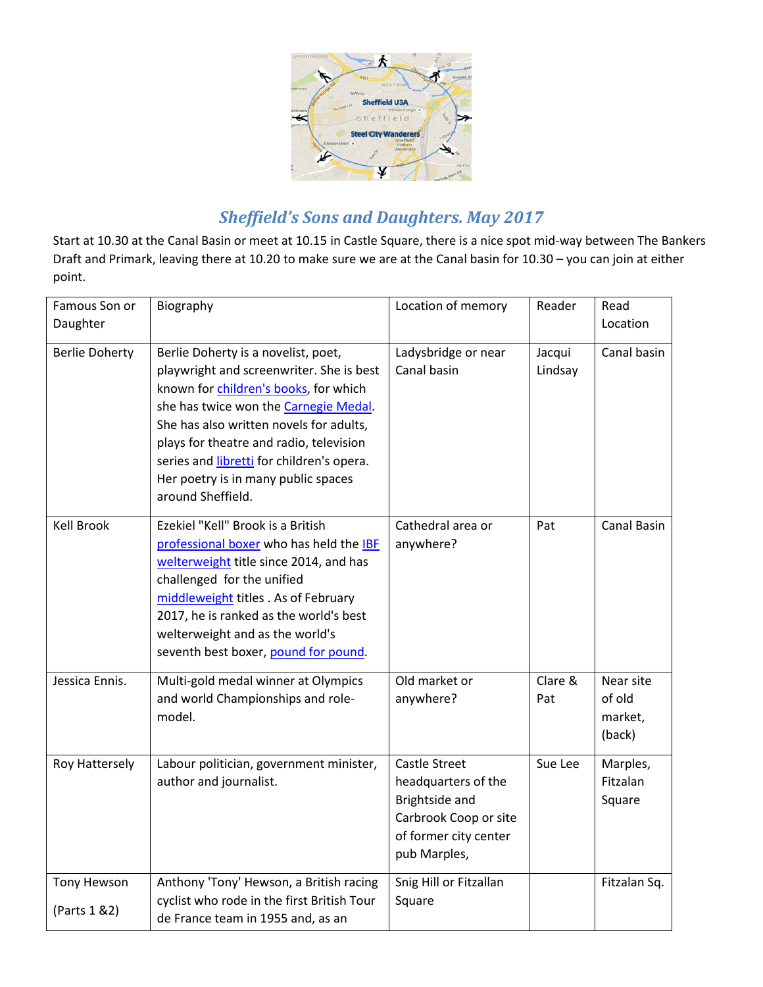

# *Sheffield's Sons and Daughters. May 2017*

Start at 10.30 at the Canal Basin or meet at 10.15 in Castle Square, there is a nice spot mid-way between The Bankers Draft and Primark, leaving there at 10.20 to make sure we are at the Canal basin for 10.30 – you can join at either point.

| Famous Son or<br>Daughter           | Biography                                                                                                                                                                                                                                                                                                                                                        | Location of memory                                                                                                              | Reader            | Read<br>Location                         |
|-------------------------------------|------------------------------------------------------------------------------------------------------------------------------------------------------------------------------------------------------------------------------------------------------------------------------------------------------------------------------------------------------------------|---------------------------------------------------------------------------------------------------------------------------------|-------------------|------------------------------------------|
| <b>Berlie Doherty</b>               | Berlie Doherty is a novelist, poet,<br>playwright and screenwriter. She is best<br>known for children's books, for which<br>she has twice won the Carnegie Medal.<br>She has also written novels for adults,<br>plays for theatre and radio, television<br>series and libretti for children's opera.<br>Her poetry is in many public spaces<br>around Sheffield. | Ladysbridge or near<br>Canal basin                                                                                              | Jacqui<br>Lindsay | Canal basin                              |
| <b>Kell Brook</b>                   | Ezekiel "Kell" Brook is a British<br>professional boxer who has held the IBF<br>welterweight title since 2014, and has<br>challenged for the unified<br>middleweight titles . As of February<br>2017, he is ranked as the world's best<br>welterweight and as the world's<br>seventh best boxer, pound for pound.                                                | Cathedral area or<br>anywhere?                                                                                                  | Pat               | Canal Basin                              |
| Jessica Ennis.                      | Multi-gold medal winner at Olympics<br>and world Championships and role-<br>model.                                                                                                                                                                                                                                                                               | Old market or<br>anywhere?                                                                                                      | Clare &<br>Pat    | Near site<br>of old<br>market,<br>(back) |
| <b>Roy Hattersely</b>               | Labour politician, government minister,<br>author and journalist.                                                                                                                                                                                                                                                                                                | <b>Castle Street</b><br>headquarters of the<br>Brightside and<br>Carbrook Coop or site<br>of former city center<br>pub Marples, | Sue Lee           | Marples,<br>Fitzalan<br>Square           |
| <b>Tony Hewson</b><br>(Parts 1 & 2) | Anthony 'Tony' Hewson, a British racing<br>cyclist who rode in the first British Tour<br>de France team in 1955 and, as an                                                                                                                                                                                                                                       | Snig Hill or Fitzallan<br>Square                                                                                                |                   | Fitzalan Sq.                             |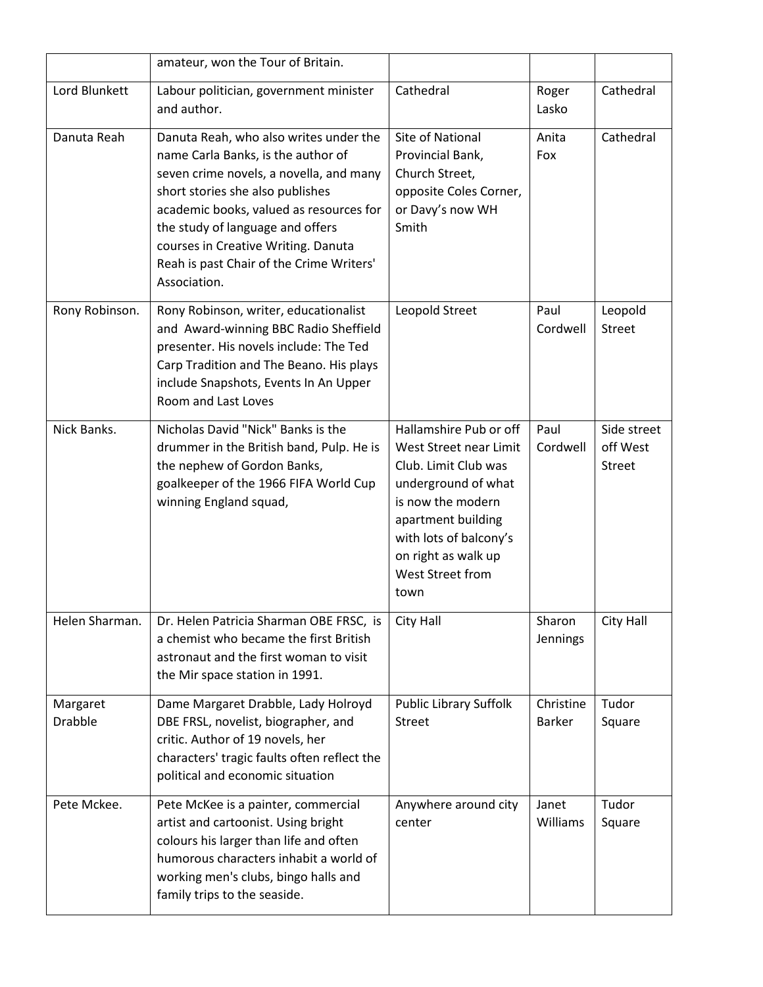|                            | amateur, won the Tour of Britain.                                                                                                                                                                                                                                                                                                             |                                                                                                                                                                                                                         |                            |                                          |
|----------------------------|-----------------------------------------------------------------------------------------------------------------------------------------------------------------------------------------------------------------------------------------------------------------------------------------------------------------------------------------------|-------------------------------------------------------------------------------------------------------------------------------------------------------------------------------------------------------------------------|----------------------------|------------------------------------------|
| Lord Blunkett              | Labour politician, government minister<br>and author.                                                                                                                                                                                                                                                                                         | Cathedral                                                                                                                                                                                                               | Roger<br>Lasko             | Cathedral                                |
| Danuta Reah                | Danuta Reah, who also writes under the<br>name Carla Banks, is the author of<br>seven crime novels, a novella, and many<br>short stories she also publishes<br>academic books, valued as resources for<br>the study of language and offers<br>courses in Creative Writing. Danuta<br>Reah is past Chair of the Crime Writers'<br>Association. | Site of National<br>Provincial Bank,<br>Church Street,<br>opposite Coles Corner,<br>or Davy's now WH<br>Smith                                                                                                           | Anita<br>Fox               | Cathedral                                |
| Rony Robinson.             | Rony Robinson, writer, educationalist<br>and Award-winning BBC Radio Sheffield<br>presenter. His novels include: The Ted<br>Carp Tradition and The Beano. His plays<br>include Snapshots, Events In An Upper<br>Room and Last Loves                                                                                                           | Leopold Street                                                                                                                                                                                                          | Paul<br>Cordwell           | Leopold<br><b>Street</b>                 |
| Nick Banks.                | Nicholas David "Nick" Banks is the<br>drummer in the British band, Pulp. He is<br>the nephew of Gordon Banks,<br>goalkeeper of the 1966 FIFA World Cup<br>winning England squad,                                                                                                                                                              | Hallamshire Pub or off<br>West Street near Limit<br>Club. Limit Club was<br>underground of what<br>is now the modern<br>apartment building<br>with lots of balcony's<br>on right as walk up<br>West Street from<br>town | Paul<br>Cordwell           | Side street<br>off West<br><b>Street</b> |
| Helen Sharman.             | Dr. Helen Patricia Sharman OBE FRSC, is<br>a chemist who became the first British<br>astronaut and the first woman to visit<br>the Mir space station in 1991.                                                                                                                                                                                 | City Hall                                                                                                                                                                                                               | Sharon<br>Jennings         | City Hall                                |
| Margaret<br><b>Drabble</b> | Dame Margaret Drabble, Lady Holroyd<br>DBE FRSL, novelist, biographer, and<br>critic. Author of 19 novels, her<br>characters' tragic faults often reflect the<br>political and economic situation                                                                                                                                             | <b>Public Library Suffolk</b><br><b>Street</b>                                                                                                                                                                          | Christine<br><b>Barker</b> | Tudor<br>Square                          |
| Pete Mckee.                | Pete McKee is a painter, commercial<br>artist and cartoonist. Using bright<br>colours his larger than life and often<br>humorous characters inhabit a world of<br>working men's clubs, bingo halls and<br>family trips to the seaside.                                                                                                        | Anywhere around city<br>center                                                                                                                                                                                          | Janet<br>Williams          | Tudor<br>Square                          |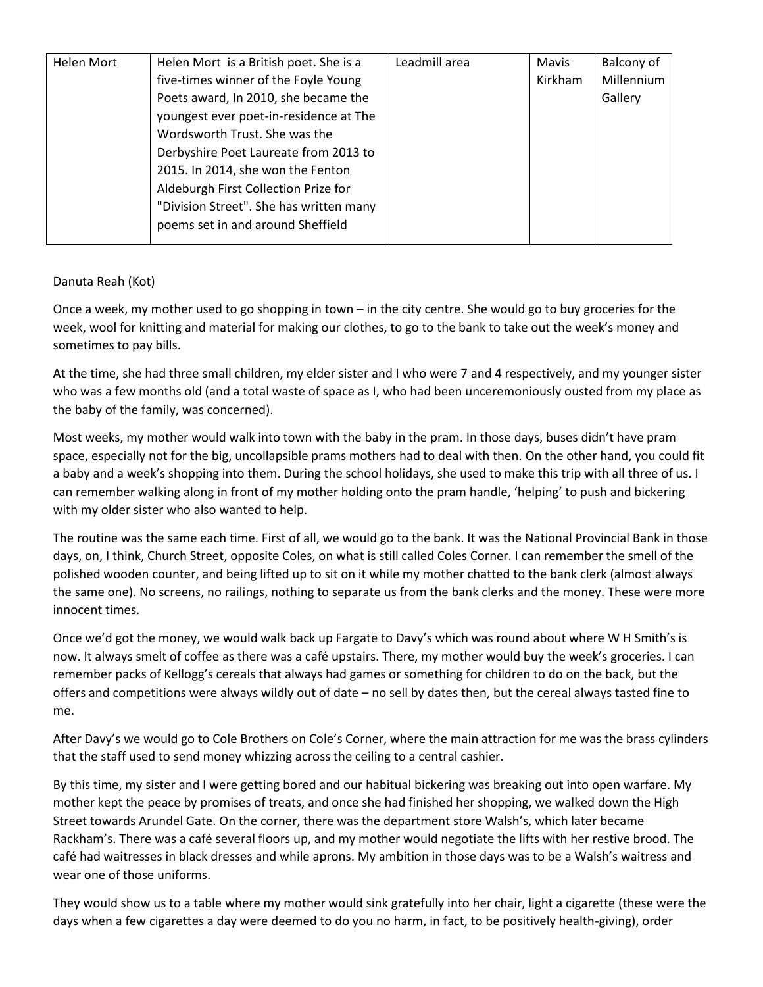| Helen Mort | Helen Mort is a British poet. She is a  | Leadmill area | Mavis   | Balcony of |
|------------|-----------------------------------------|---------------|---------|------------|
|            | five-times winner of the Foyle Young    |               | Kirkham | Millennium |
|            | Poets award, In 2010, she became the    |               |         | Gallery    |
|            | youngest ever poet-in-residence at The  |               |         |            |
|            | Wordsworth Trust. She was the           |               |         |            |
|            | Derbyshire Poet Laureate from 2013 to   |               |         |            |
|            | 2015. In 2014, she won the Fenton       |               |         |            |
|            | Aldeburgh First Collection Prize for    |               |         |            |
|            | "Division Street". She has written many |               |         |            |
|            | poems set in and around Sheffield       |               |         |            |
|            |                                         |               |         |            |

# Danuta Reah (Kot)

Once a week, my mother used to go shopping in town – in the city centre. She would go to buy groceries for the week, wool for knitting and material for making our clothes, to go to the bank to take out the week's money and sometimes to pay bills.

At the time, she had three small children, my elder sister and I who were 7 and 4 respectively, and my younger sister who was a few months old (and a total waste of space as I, who had been unceremoniously ousted from my place as the baby of the family, was concerned).

Most weeks, my mother would walk into town with the baby in the pram. In those days, buses didn't have pram space, especially not for the big, uncollapsible prams mothers had to deal with then. On the other hand, you could fit a baby and a week's shopping into them. During the school holidays, she used to make this trip with all three of us. I can remember walking along in front of my mother holding onto the pram handle, 'helping' to push and bickering with my older sister who also wanted to help.

The routine was the same each time. First of all, we would go to the bank. It was the National Provincial Bank in those days, on, I think, Church Street, opposite Coles, on what is still called Coles Corner. I can remember the smell of the polished wooden counter, and being lifted up to sit on it while my mother chatted to the bank clerk (almost always the same one). No screens, no railings, nothing to separate us from the bank clerks and the money. These were more innocent times.

Once we'd got the money, we would walk back up Fargate to Davy's which was round about where W H Smith's is now. It always smelt of coffee as there was a café upstairs. There, my mother would buy the week's groceries. I can remember packs of Kellogg's cereals that always had games or something for children to do on the back, but the offers and competitions were always wildly out of date – no sell by dates then, but the cereal always tasted fine to me.

After Davy's we would go to Cole Brothers on Cole's Corner, where the main attraction for me was the brass cylinders that the staff used to send money whizzing across the ceiling to a central cashier.

By this time, my sister and I were getting bored and our habitual bickering was breaking out into open warfare. My mother kept the peace by promises of treats, and once she had finished her shopping, we walked down the High Street towards Arundel Gate. On the corner, there was the department store Walsh's, which later became Rackham's. There was a café several floors up, and my mother would negotiate the lifts with her restive brood. The café had waitresses in black dresses and while aprons. My ambition in those days was to be a Walsh's waitress and wear one of those uniforms.

They would show us to a table where my mother would sink gratefully into her chair, light a cigarette (these were the days when a few cigarettes a day were deemed to do you no harm, in fact, to be positively health-giving), order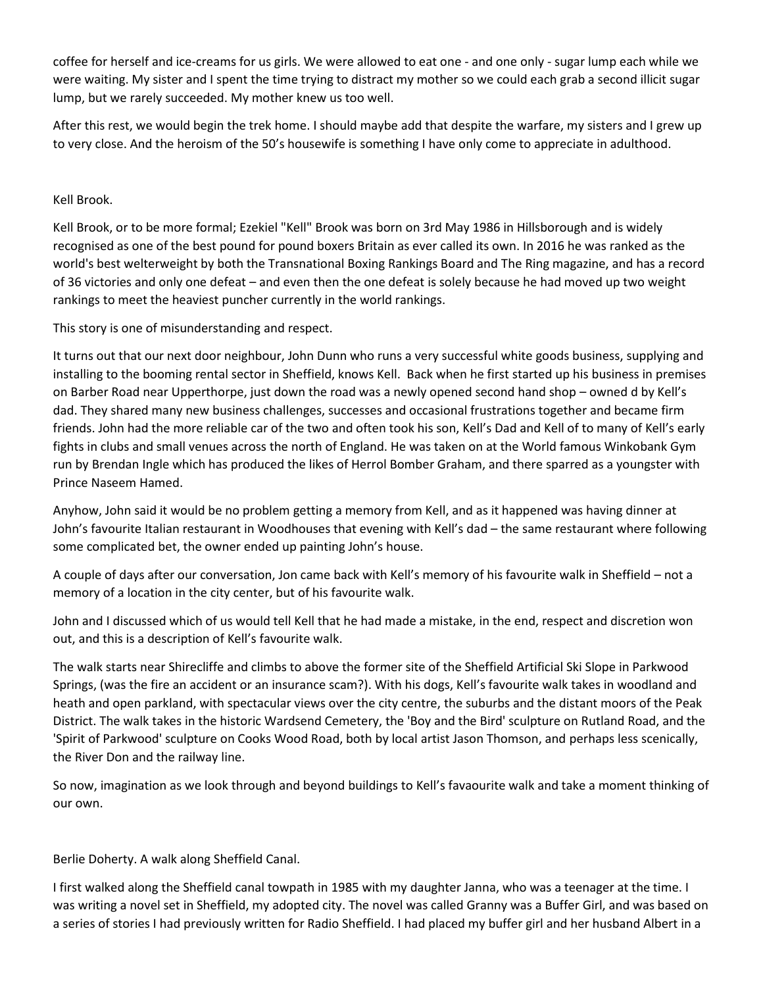coffee for herself and ice-creams for us girls. We were allowed to eat one - and one only - sugar lump each while we were waiting. My sister and I spent the time trying to distract my mother so we could each grab a second illicit sugar lump, but we rarely succeeded. My mother knew us too well.

After this rest, we would begin the trek home. I should maybe add that despite the warfare, my sisters and I grew up to very close. And the heroism of the 50's housewife is something I have only come to appreciate in adulthood.

Kell Brook.

Kell Brook, or to be more formal; Ezekiel "Kell" Brook was born on 3rd May 1986 in Hillsborough and is widely recognised as one of the best pound for pound boxers Britain as ever called its own. In 2016 he was ranked as the world's best welterweight by both the Transnational Boxing Rankings Board and The Ring magazine, and has a record of 36 victories and only one defeat – and even then the one defeat is solely because he had moved up two weight rankings to meet the heaviest puncher currently in the world rankings.

This story is one of misunderstanding and respect.

It turns out that our next door neighbour, John Dunn who runs a very successful white goods business, supplying and installing to the booming rental sector in Sheffield, knows Kell. Back when he first started up his business in premises on Barber Road near Upperthorpe, just down the road was a newly opened second hand shop – owned d by Kell's dad. They shared many new business challenges, successes and occasional frustrations together and became firm friends. John had the more reliable car of the two and often took his son, Kell's Dad and Kell of to many of Kell's early fights in clubs and small venues across the north of England. He was taken on at the World famous Winkobank Gym run by Brendan Ingle which has produced the likes of Herrol Bomber Graham, and there sparred as a youngster with Prince Naseem Hamed.

Anyhow, John said it would be no problem getting a memory from Kell, and as it happened was having dinner at John's favourite Italian restaurant in Woodhouses that evening with Kell's dad – the same restaurant where following some complicated bet, the owner ended up painting John's house.

A couple of days after our conversation, Jon came back with Kell's memory of his favourite walk in Sheffield – not a memory of a location in the city center, but of his favourite walk.

John and I discussed which of us would tell Kell that he had made a mistake, in the end, respect and discretion won out, and this is a description of Kell's favourite walk.

The walk starts near Shirecliffe and climbs to above the former site of the Sheffield Artificial Ski Slope in Parkwood Springs, (was the fire an accident or an insurance scam?). With his dogs, Kell's favourite walk takes in woodland and heath and open parkland, with spectacular views over the city centre, the suburbs and the distant moors of the Peak District. The walk takes in the historic Wardsend Cemetery, the 'Boy and the Bird' sculpture on Rutland Road, and the 'Spirit of Parkwood' sculpture on Cooks Wood Road, both by local artist Jason Thomson, and perhaps less scenically, the River Don and the railway line.

So now, imagination as we look through and beyond buildings to Kell's favaourite walk and take a moment thinking of our own.

Berlie Doherty. A walk along Sheffield Canal.

I first walked along the Sheffield canal towpath in 1985 with my daughter Janna, who was a teenager at the time. I was writing a novel set in Sheffield, my adopted city. The novel was called Granny was a Buffer Girl, and was based on a series of stories I had previously written for Radio Sheffield. I had placed my buffer girl and her husband Albert in a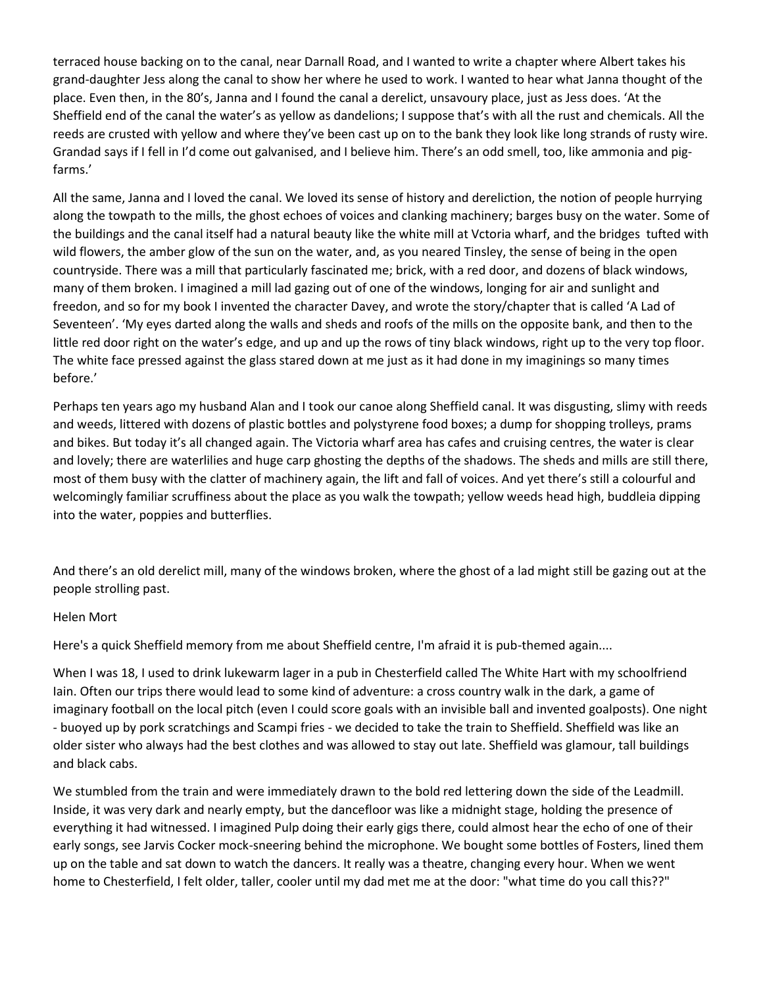terraced house backing on to the canal, near Darnall Road, and I wanted to write a chapter where Albert takes his grand-daughter Jess along the canal to show her where he used to work. I wanted to hear what Janna thought of the place. Even then, in the 80's, Janna and I found the canal a derelict, unsavoury place, just as Jess does. 'At the Sheffield end of the canal the water's as yellow as dandelions; I suppose that's with all the rust and chemicals. All the reeds are crusted with yellow and where they've been cast up on to the bank they look like long strands of rusty wire. Grandad says if I fell in I'd come out galvanised, and I believe him. There's an odd smell, too, like ammonia and pigfarms.'

All the same, Janna and I loved the canal. We loved its sense of history and dereliction, the notion of people hurrying along the towpath to the mills, the ghost echoes of voices and clanking machinery; barges busy on the water. Some of the buildings and the canal itself had a natural beauty like the white mill at Vctoria wharf, and the bridges tufted with wild flowers, the amber glow of the sun on the water, and, as you neared Tinsley, the sense of being in the open countryside. There was a mill that particularly fascinated me; brick, with a red door, and dozens of black windows, many of them broken. I imagined a mill lad gazing out of one of the windows, longing for air and sunlight and freedon, and so for my book I invented the character Davey, and wrote the story/chapter that is called 'A Lad of Seventeen'. 'My eyes darted along the walls and sheds and roofs of the mills on the opposite bank, and then to the little red door right on the water's edge, and up and up the rows of tiny black windows, right up to the very top floor. The white face pressed against the glass stared down at me just as it had done in my imaginings so many times before.'

Perhaps ten years ago my husband Alan and I took our canoe along Sheffield canal. It was disgusting, slimy with reeds and weeds, littered with dozens of plastic bottles and polystyrene food boxes; a dump for shopping trolleys, prams and bikes. But today it's all changed again. The Victoria wharf area has cafes and cruising centres, the water is clear and lovely; there are waterlilies and huge carp ghosting the depths of the shadows. The sheds and mills are still there, most of them busy with the clatter of machinery again, the lift and fall of voices. And yet there's still a colourful and welcomingly familiar scruffiness about the place as you walk the towpath; yellow weeds head high, buddleia dipping into the water, poppies and butterflies.

And there's an old derelict mill, many of the windows broken, where the ghost of a lad might still be gazing out at the people strolling past.

#### Helen Mort

Here's a quick Sheffield memory from me about Sheffield centre, I'm afraid it is pub-themed again....

When I was 18, I used to drink lukewarm lager in a pub in Chesterfield called The White Hart with my schoolfriend Iain. Often our trips there would lead to some kind of adventure: a cross country walk in the dark, a game of imaginary football on the local pitch (even I could score goals with an invisible ball and invented goalposts). One night - buoyed up by pork scratchings and Scampi fries - we decided to take the train to Sheffield. Sheffield was like an older sister who always had the best clothes and was allowed to stay out late. Sheffield was glamour, tall buildings and black cabs.

We stumbled from the train and were immediately drawn to the bold red lettering down the side of the Leadmill. Inside, it was very dark and nearly empty, but the dancefloor was like a midnight stage, holding the presence of everything it had witnessed. I imagined Pulp doing their early gigs there, could almost hear the echo of one of their early songs, see Jarvis Cocker mock-sneering behind the microphone. We bought some bottles of Fosters, lined them up on the table and sat down to watch the dancers. It really was a theatre, changing every hour. When we went home to Chesterfield, I felt older, taller, cooler until my dad met me at the door: "what time do you call this??"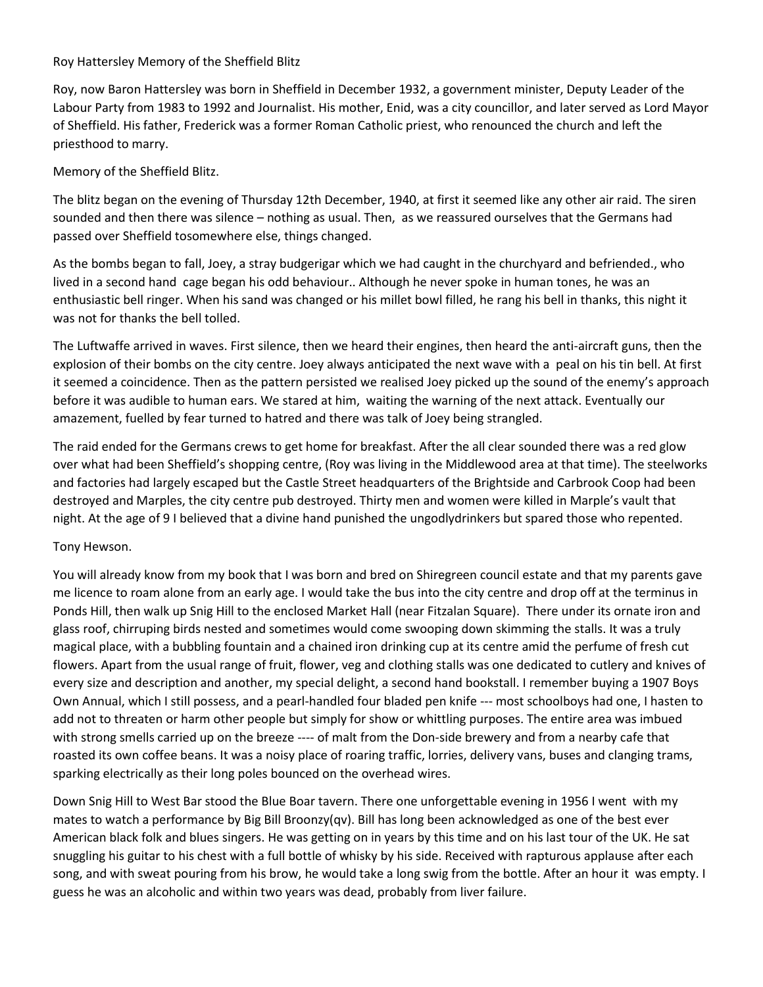Roy Hattersley Memory of the Sheffield Blitz

Roy, now Baron Hattersley was born in Sheffield in December 1932, a government minister, Deputy Leader of the Labour Party from 1983 to 1992 and Journalist. His mother, Enid, was a city councillor, and later served as Lord Mayor of Sheffield. His father, Frederick was a former Roman Catholic priest, who renounced the church and left the priesthood to marry.

Memory of the Sheffield Blitz.

The blitz began on the evening of Thursday 12th December, 1940, at first it seemed like any other air raid. The siren sounded and then there was silence – nothing as usual. Then, as we reassured ourselves that the Germans had passed over Sheffield tosomewhere else, things changed.

As the bombs began to fall, Joey, a stray budgerigar which we had caught in the churchyard and befriended., who lived in a second hand cage began his odd behaviour.. Although he never spoke in human tones, he was an enthusiastic bell ringer. When his sand was changed or his millet bowl filled, he rang his bell in thanks, this night it was not for thanks the bell tolled.

The Luftwaffe arrived in waves. First silence, then we heard their engines, then heard the anti-aircraft guns, then the explosion of their bombs on the city centre. Joey always anticipated the next wave with a peal on his tin bell. At first it seemed a coincidence. Then as the pattern persisted we realised Joey picked up the sound of the enemy's approach before it was audible to human ears. We stared at him, waiting the warning of the next attack. Eventually our amazement, fuelled by fear turned to hatred and there was talk of Joey being strangled.

The raid ended for the Germans crews to get home for breakfast. After the all clear sounded there was a red glow over what had been Sheffield's shopping centre, (Roy was living in the Middlewood area at that time). The steelworks and factories had largely escaped but the Castle Street headquarters of the Brightside and Carbrook Coop had been destroyed and Marples, the city centre pub destroyed. Thirty men and women were killed in Marple's vault that night. At the age of 9 I believed that a divine hand punished the ungodlydrinkers but spared those who repented.

## Tony Hewson.

You will already know from my book that I was born and bred on Shiregreen council estate and that my parents gave me licence to roam alone from an early age. I would take the bus into the city centre and drop off at the terminus in Ponds Hill, then walk up Snig Hill to the enclosed Market Hall (near Fitzalan Square). There under its ornate iron and glass roof, chirruping birds nested and sometimes would come swooping down skimming the stalls. It was a truly magical place, with a bubbling fountain and a chained iron drinking cup at its centre amid the perfume of fresh cut flowers. Apart from the usual range of fruit, flower, veg and clothing stalls was one dedicated to cutlery and knives of every size and description and another, my special delight, a second hand bookstall. I remember buying a 1907 Boys Own Annual, which I still possess, and a pearl-handled four bladed pen knife --- most schoolboys had one, I hasten to add not to threaten or harm other people but simply for show or whittling purposes. The entire area was imbued with strong smells carried up on the breeze ---- of malt from the Don-side brewery and from a nearby cafe that roasted its own coffee beans. It was a noisy place of roaring traffic, lorries, delivery vans, buses and clanging trams, sparking electrically as their long poles bounced on the overhead wires.

Down Snig Hill to West Bar stood the Blue Boar tavern. There one unforgettable evening in 1956 I went with my mates to watch a performance by Big Bill Broonzy(qv). Bill has long been acknowledged as one of the best ever American black folk and blues singers. He was getting on in years by this time and on his last tour of the UK. He sat snuggling his guitar to his chest with a full bottle of whisky by his side. Received with rapturous applause after each song, and with sweat pouring from his brow, he would take a long swig from the bottle. After an hour it was empty. I guess he was an alcoholic and within two years was dead, probably from liver failure.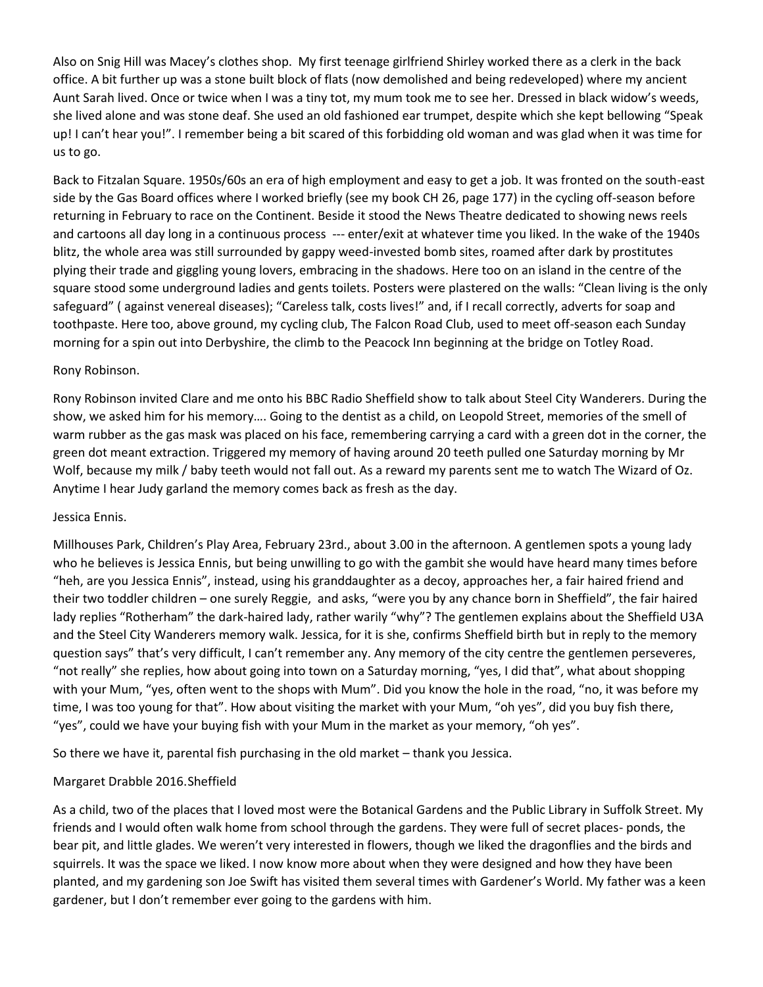Also on Snig Hill was Macey's clothes shop. My first teenage girlfriend Shirley worked there as a clerk in the back office. A bit further up was a stone built block of flats (now demolished and being redeveloped) where my ancient Aunt Sarah lived. Once or twice when I was a tiny tot, my mum took me to see her. Dressed in black widow's weeds, she lived alone and was stone deaf. She used an old fashioned ear trumpet, despite which she kept bellowing "Speak up! I can't hear you!". I remember being a bit scared of this forbidding old woman and was glad when it was time for us to go.

Back to Fitzalan Square. 1950s/60s an era of high employment and easy to get a job. It was fronted on the south-east side by the Gas Board offices where I worked briefly (see my book CH 26, page 177) in the cycling off-season before returning in February to race on the Continent. Beside it stood the News Theatre dedicated to showing news reels and cartoons all day long in a continuous process --- enter/exit at whatever time you liked. In the wake of the 1940s blitz, the whole area was still surrounded by gappy weed-invested bomb sites, roamed after dark by prostitutes plying their trade and giggling young lovers, embracing in the shadows. Here too on an island in the centre of the square stood some underground ladies and gents toilets. Posters were plastered on the walls: "Clean living is the only safeguard" ( against venereal diseases); "Careless talk, costs lives!" and, if I recall correctly, adverts for soap and toothpaste. Here too, above ground, my cycling club, The Falcon Road Club, used to meet off-season each Sunday morning for a spin out into Derbyshire, the climb to the Peacock Inn beginning at the bridge on Totley Road.

#### Rony Robinson.

Rony Robinson invited Clare and me onto his BBC Radio Sheffield show to talk about Steel City Wanderers. During the show, we asked him for his memory…. Going to the dentist as a child, on Leopold Street, memories of the smell of warm rubber as the gas mask was placed on his face, remembering carrying a card with a green dot in the corner, the green dot meant extraction. Triggered my memory of having around 20 teeth pulled one Saturday morning by Mr Wolf, because my milk / baby teeth would not fall out. As a reward my parents sent me to watch The Wizard of Oz. Anytime I hear Judy garland the memory comes back as fresh as the day.

#### Jessica Ennis.

Millhouses Park, Children's Play Area, February 23rd., about 3.00 in the afternoon. A gentlemen spots a young lady who he believes is Jessica Ennis, but being unwilling to go with the gambit she would have heard many times before "heh, are you Jessica Ennis", instead, using his granddaughter as a decoy, approaches her, a fair haired friend and their two toddler children – one surely Reggie, and asks, "were you by any chance born in Sheffield", the fair haired lady replies "Rotherham" the dark-haired lady, rather warily "why"? The gentlemen explains about the Sheffield U3A and the Steel City Wanderers memory walk. Jessica, for it is she, confirms Sheffield birth but in reply to the memory question says" that's very difficult, I can't remember any. Any memory of the city centre the gentlemen perseveres, "not really" she replies, how about going into town on a Saturday morning, "yes, I did that", what about shopping with your Mum, "yes, often went to the shops with Mum". Did you know the hole in the road, "no, it was before my time, I was too young for that". How about visiting the market with your Mum, "oh yes", did you buy fish there, "yes", could we have your buying fish with your Mum in the market as your memory, "oh yes".

So there we have it, parental fish purchasing in the old market – thank you Jessica.

## Margaret Drabble 2016.Sheffield

As a child, two of the places that I loved most were the Botanical Gardens and the Public Library in Suffolk Street. My friends and I would often walk home from school through the gardens. They were full of secret places- ponds, the bear pit, and little glades. We weren't very interested in flowers, though we liked the dragonflies and the birds and squirrels. It was the space we liked. I now know more about when they were designed and how they have been planted, and my gardening son Joe Swift has visited them several times with Gardener's World. My father was a keen gardener, but I don't remember ever going to the gardens with him.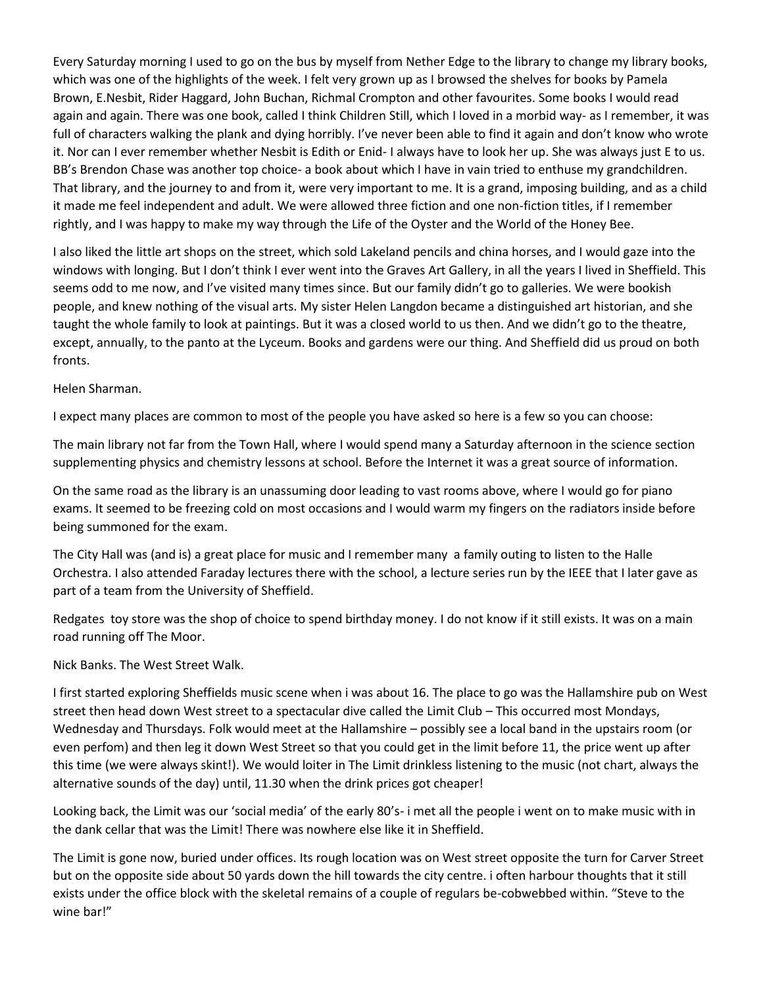Every Saturday morning I used to go on the bus by myself from Nether Edge to the library to change my library books, which was one of the highlights of the week. I felt very grown up as I browsed the shelves for books by Pamela Brown, E.Nesbit, Rider Haggard, John Buchan, Richmal Crompton and other favourites. Some books I would read again and again. There was one book, called I think Children Still, which I loved in a morbid way- as I remember, it was full of characters walking the plank and dying horribly. I've never been able to find it again and don't know who wrote it. Nor can I ever remember whether Nesbit is Edith or Enid- I always have to look her up. She was always just E to us. BB's Brendon Chase was another top choice- a book about which I have in vain tried to enthuse my grandchildren. That library, and the journey to and from it, were very important to me. It is a grand, imposing building, and as a child it made me feel independent and adult. We were allowed three fiction and one non-fiction titles, if I remember rightly, and I was happy to make my way through the Life of the Oyster and the World of the Honey Bee.

I also liked the little art shops on the street, which sold Lakeland pencils and china horses, and I would gaze into the windows with longing. But I don't think I ever went into the Graves Art Gallery, in all the years I lived in Sheffield. This seems odd to me now, and I've visited many times since. But our family didn't go to galleries. We were bookish people, and knew nothing of the visual arts. My sister Helen Langdon became a distinguished art historian, and she taught the whole family to look at paintings. But it was a closed world to us then. And we didn't go to the theatre, except, annually, to the panto at the Lyceum. Books and gardens were our thing. And Sheffield did us proud on both fronts.

Helen Sharman.

I expect many places are common to most of the people you have asked so here is a few so you can choose:

The main library not far from the Town Hall, where I would spend many a Saturday afternoon in the science section supplementing physics and chemistry lessons at school. Before the Internet it was a great source of information.

On the same road as the library is an unassuming door leading to vast rooms above, where I would go for piano exams. It seemed to be freezing cold on most occasions and I would warm my fingers on the radiators inside before being summoned for the exam.

The City Hall was (and is) a great place for music and I remember many a family outing to listen to the Halle Orchestra. I also attended Faraday lectures there with the school, a lecture series run by the IEEE that I later gave as part of a team from the University of Sheffield.

Redgates toy store was the shop of choice to spend birthday money. I do not know if it still exists. It was on a main road running off The Moor.

Nick Banks. The West Street Walk.

I first started exploring Sheffields music scene when i was about 16. The place to go was the Hallamshire pub on West street then head down West street to a spectacular dive called the Limit Club – This occurred most Mondays, Wednesday and Thursdays. Folk would meet at the Hallamshire – possibly see a local band in the upstairs room (or even perfom) and then leg it down West Street so that you could get in the limit before 11, the price went up after this time (we were always skint!). We would loiter in The Limit drinkless listening to the music (not chart, always the alternative sounds of the day) until, 11.30 when the drink prices got cheaper!

Looking back, the Limit was our 'social media' of the early 80's- i met all the people i went on to make music with in the dank cellar that was the Limit! There was nowhere else like it in Sheffield.

The Limit is gone now, buried under offices. Its rough location was on West street opposite the turn for Carver Street but on the opposite side about 50 yards down the hill towards the city centre. i often harbour thoughts that it still exists under the office block with the skeletal remains of a couple of regulars be-cobwebbed within. "Steve to the wine bar!"